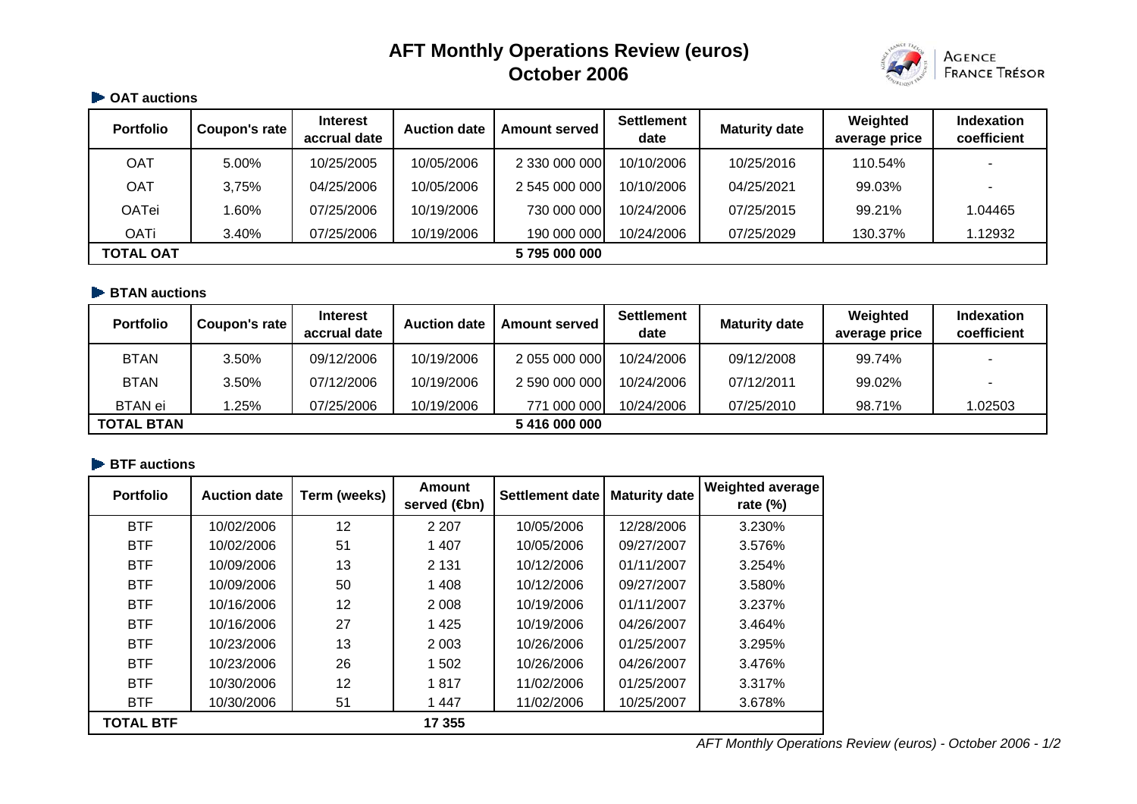# **AFT Monthly Operations Review (euros) October 2006**



## **CAT auctions**

| <b>Portfolio</b> | Coupon's rate | <b>Interest</b><br>accrual date | <b>Auction date</b> | <b>Amount served</b> | <b>Settlement</b><br>date | <b>Maturity date</b> | Weighted<br>average price | Indexation<br>coefficient |
|------------------|---------------|---------------------------------|---------------------|----------------------|---------------------------|----------------------|---------------------------|---------------------------|
| OAT              | 5.00%         | 10/25/2005                      | 10/05/2006          | 2 330 000 000        | 10/10/2006                | 10/25/2016           | 110.54%                   | $\overline{\phantom{0}}$  |
| OAT              | 3,75%         | 04/25/2006                      | 10/05/2006          | 2 545 000 000        | 10/10/2006                | 04/25/2021           | 99.03%                    |                           |
| <b>OATei</b>     | 1.60%         | 07/25/2006                      | 10/19/2006          | 730 000 000          | 10/24/2006                | 07/25/2015           | 99.21%                    | 1.04465                   |
| <b>OATi</b>      | 3.40%         | 07/25/2006                      | 10/19/2006          | 190 000 000          | 10/24/2006                | 07/25/2029           | 130.37%                   | 1.12932                   |
| <b>TOTAL OAT</b> |               |                                 |                     | 5795000000           |                           |                      |                           |                           |

#### **BTAN auctions**

| <b>Portfolio</b>  | Coupon's rate | <b>Interest</b><br>accrual date | <b>Auction date</b> | <b>Amount served</b> | <b>Settlement</b><br>date | <b>Maturity date</b> | Weighted<br>average price | <b>Indexation</b><br>coefficient |
|-------------------|---------------|---------------------------------|---------------------|----------------------|---------------------------|----------------------|---------------------------|----------------------------------|
| <b>BTAN</b>       | 3.50%         | 09/12/2006                      | 10/19/2006          | 2 055 000 000        | 10/24/2006                | 09/12/2008           | 99.74%                    |                                  |
| <b>BTAN</b>       | 3.50%         | 07/12/2006                      | 10/19/2006          | 2 590 000 000        | 10/24/2006                | 07/12/2011           | 99.02%                    |                                  |
| <b>BTAN</b> ei    | .25%          | 07/25/2006                      | 10/19/2006          | 771 000 000          | 10/24/2006                | 07/25/2010           | 98.71%                    | 1.02503                          |
| <b>TOTAL BTAN</b> |               |                                 |                     | 5 416 000 000        |                           |                      |                           |                                  |

## **BTF** auctions

| <b>Portfolio</b> | <b>Auction date</b> | Term (weeks) | <b>Amount</b><br>served ( <b>4</b> bn) | <b>Settlement date</b> | <b>Maturity date</b> | <b>Weighted average</b><br>rate $(\%)$ |
|------------------|---------------------|--------------|----------------------------------------|------------------------|----------------------|----------------------------------------|
| <b>BTF</b>       | 10/02/2006          | 12           | 2 2 0 7                                | 10/05/2006             | 12/28/2006           | 3.230%                                 |
| <b>BTF</b>       | 10/02/2006          | 51           | 1 4 0 7                                | 10/05/2006             | 09/27/2007           | 3.576%                                 |
| <b>BTF</b>       | 10/09/2006          | 13           | 2 1 3 1                                | 10/12/2006             | 01/11/2007           | 3.254%                                 |
| <b>BTF</b>       | 10/09/2006          | 50           | 1 4 0 8                                | 10/12/2006             | 09/27/2007           | 3.580%                                 |
| <b>BTF</b>       | 10/16/2006          | 12           | 2 0 0 8                                | 10/19/2006             | 01/11/2007           | 3.237%                                 |
| <b>BTF</b>       | 10/16/2006          | 27           | 1 4 2 5                                | 10/19/2006             | 04/26/2007           | 3.464%                                 |
| <b>BTF</b>       | 10/23/2006          | 13           | 2 0 0 3                                | 10/26/2006             | 01/25/2007           | 3.295%                                 |
| <b>BTF</b>       | 10/23/2006          | 26           | 1 502                                  | 10/26/2006             | 04/26/2007           | 3.476%                                 |
| <b>BTF</b>       | 10/30/2006          | 12           | 1817                                   | 11/02/2006             | 01/25/2007           | 3.317%                                 |
| <b>BTF</b>       | 10/30/2006          | 51           | 1 4 4 7                                | 11/02/2006             | 10/25/2007           | 3.678%                                 |
| <b>TOTAL BTF</b> |                     |              | 17 355                                 |                        |                      |                                        |